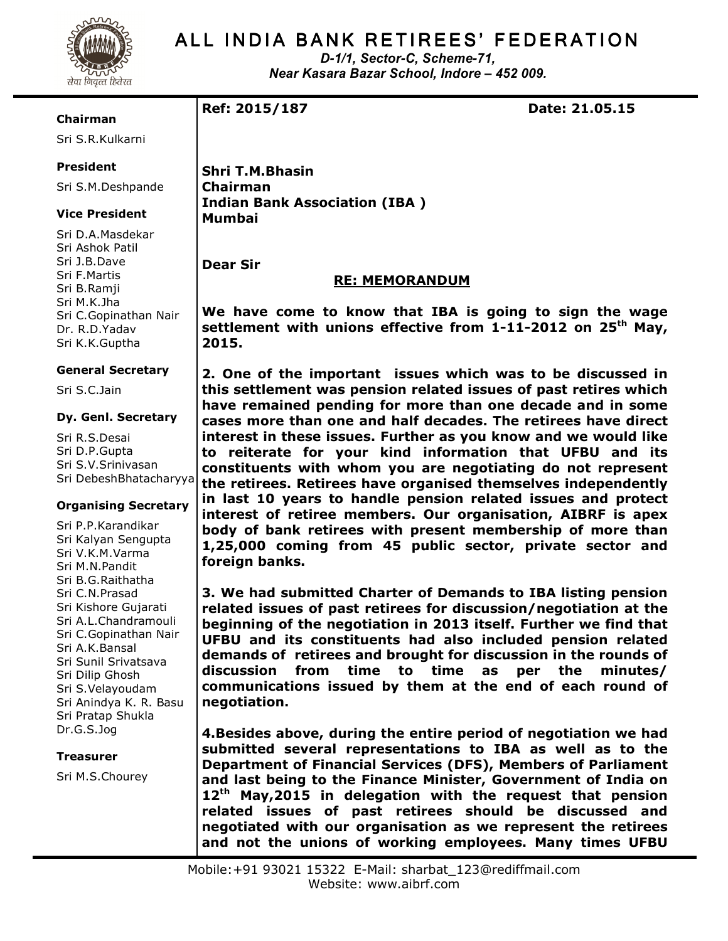

## ALL INDIA BANK RETIREES' FEDERATION

D-1/1, Sector-C, Scheme-71, Near Kasara Bazar School, Indore – 452 009.

#### Chairman

Sri S.R.Kulkarni

## President

Sri S.M.Deshpande

### Vice President

Sri D.A.Masdekar Sri Ashok Patil Sri J.B.Dave Sri F.Martis Sri B.Ramji Sri M.K.Jha Sri C.Gopinathan Nair Dr. R.D.Yadav Sri K.K.Guptha

#### General Secretary

Sri S.C.Jain

#### Dy. Genl. Secretary

Sri R.S.Desai Sri D.P.Gupta Sri S.V.Srinivasan Sri DebeshBhatacharyya

#### Organising Secretary

Sri P.P.Karandikar Sri Kalyan Sengupta Sri V.K.M.Varma Sri M.N.Pandit Sri B.G.Raithatha Sri C.N.Prasad Sri Kishore Gujarati Sri A.L.Chandramouli Sri C.Gopinathan Nair Sri A.K.Bansal Sri Sunil Srivatsava Sri Dilip Ghosh Sri S.Velayoudam Sri Anindya K. R. Basu Sri Pratap Shukla Dr.G.S.Jog

#### Treasurer

Sri M.S.Chourey

Ref: 2015/187 Date: 21.05.15

Shri T.M.Bhasin Chairman Indian Bank Association (IBA ) Mumbai

Dear Sir

## RE: MEMORANDUM

We have come to know that IBA is going to sign the wage settlement with unions effective from 1-11-2012 on 25<sup>th</sup> May, 2015.

2. One of the important issues which was to be discussed in this settlement was pension related issues of past retires which have remained pending for more than one decade and in some cases more than one and half decades. The retirees have direct interest in these issues. Further as you know and we would like to reiterate for your kind information that UFBU and its constituents with whom you are negotiating do not represent the retirees. Retirees have organised themselves independently in last 10 years to handle pension related issues and protect interest of retiree members. Our organisation, AIBRF is apex body of bank retirees with present membership of more than 1,25,000 coming from 45 public sector, private sector and foreign banks.

3. We had submitted Charter of Demands to IBA listing pension related issues of past retirees for discussion/negotiation at the beginning of the negotiation in 2013 itself. Further we find that UFBU and its constituents had also included pension related demands of retirees and brought for discussion in the rounds of discussion from time to time as per the minutes/ communications issued by them at the end of each round of negotiation.

4.Besides above, during the entire period of negotiation we had submitted several representations to IBA as well as to the Department of Financial Services (DFS), Members of Parliament and last being to the Finance Minister, Government of India on  $12<sup>th</sup>$  May, 2015 in delegation with the request that pension related issues of past retirees should be discussed and negotiated with our organisation as we represent the retirees and not the unions of working employees. Many times UFBU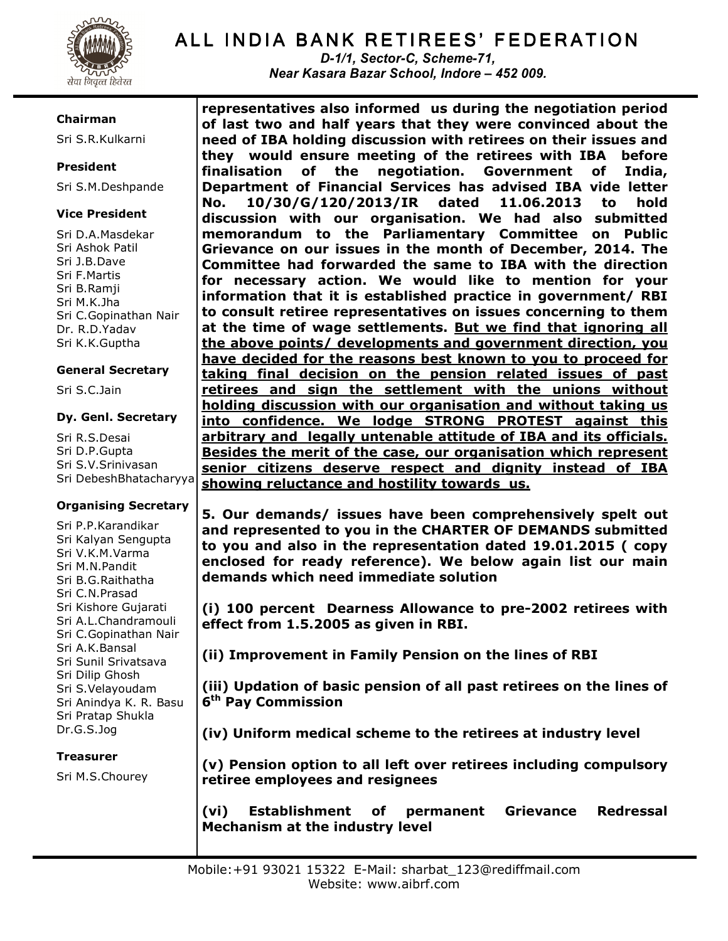

# ALL INDIA BANK RETIREES' FEDERATION

D-1/1, Sector-C, Scheme-71, Near Kasara Bazar School, Indore – 452 009.

### Chairman

Sri S.R.Kulkarni

## President

Sri S.M.Deshpande

## Vice President

Sri D.A.Masdekar Sri Ashok Patil Sri J.B.Dave Sri F.Martis Sri B.Ramji Sri M.K.Jha Sri C.Gopinathan Nair Dr. R.D.Yadav Sri K.K.Guptha

### General Secretary

Sri S.C.Jain

### Dy. Genl. Secretary

Sri R.S.Desai Sri D.P.Gupta Sri S.V.Srinivasan Sri DebeshBhatacharyya

## Organising Secretary

Sri P.P.Karandikar Sri Kalyan Sengupta Sri V.K.M.Varma Sri M.N.Pandit Sri B.G.Raithatha Sri C.N.Prasad Sri Kishore Gujarati Sri A.L.Chandramouli Sri C.Gopinathan Nair Sri A.K.Bansal Sri Sunil Srivatsava Sri Dilip Ghosh Sri S.Velayoudam Sri Anindya K. R. Basu Sri Pratap Shukla Dr.G.S.Jog

## Treasurer

Sri M.S.Chourey

representatives also informed us during the negotiation period of last two and half years that they were convinced about the need of IBA holding discussion with retirees on their issues and they would ensure meeting of the retirees with IBA before finalisation of the negotiation. Government of India, Department of Financial Services has advised IBA vide letter No. 10/30/G/120/2013/IR dated 11.06.2013 to hold discussion with our organisation. We had also submitted memorandum to the Parliamentary Committee on Public Grievance on our issues in the month of December, 2014. The Committee had forwarded the same to IBA with the direction for necessary action. We would like to mention for your information that it is established practice in government/ RBI to consult retiree representatives on issues concerning to them at the time of wage settlements. But we find that ignoring all the above points/ developments and government direction, you have decided for the reasons best known to you to proceed for taking final decision on the pension related issues of past retirees and sign the settlement with the unions without holding discussion with our organisation and without taking us into confidence. We lodge STRONG PROTEST against this arbitrary and legally untenable attitude of IBA and its officials. Besides the merit of the case, our organisation which represent senior citizens deserve respect and dignity instead of IBA showing reluctance and hostility towards us.

5. Our demands/ issues have been comprehensively spelt out and represented to you in the CHARTER OF DEMANDS submitted to you and also in the representation dated 19.01.2015 ( copy enclosed for ready reference). We below again list our main demands which need immediate solution

(i) 100 percent Dearness Allowance to pre-2002 retirees with effect from 1.5.2005 as given in RBI.

(ii) Improvement in Family Pension on the lines of RBI

(iii) Updation of basic pension of all past retirees on the lines of 6<sup>th</sup> Pay Commission

(iv) Uniform medical scheme to the retirees at industry level

(v) Pension option to all left over retirees including compulsory retiree employees and resignees

(vi) Establishment of permanent Grievance Redressal Mechanism at the industry level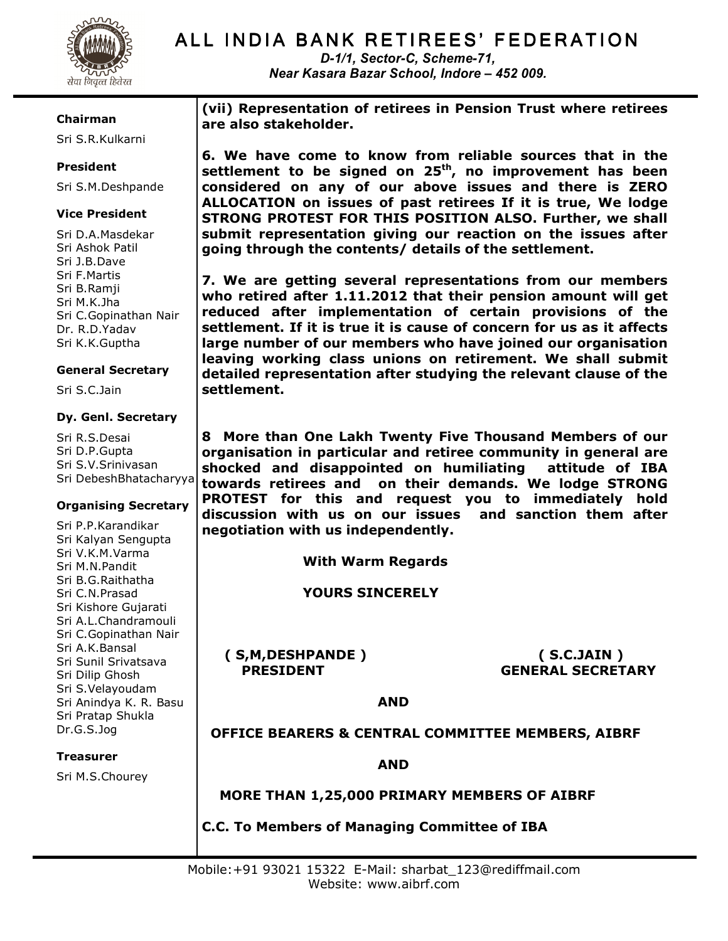

## ALL INDIA BANK RETIREES' FEDERATION

D-1/1, Sector-C, Scheme-71, Near Kasara Bazar School, Indore – 452 009.

#### Chairman

Sri S.R.Kulkarni

## President

Sri S.M.Deshpande

### Vice President

Sri D.A.Masdekar Sri Ashok Patil Sri J.B.Dave Sri F.Martis Sri B.Ramji Sri M.K.Jha Sri C.Gopinathan Nair Dr. R.D.Yadav Sri K.K.Guptha

#### General Secretary

Sri S.C.Jain

#### Dy. Genl. Secretary

Sri R.S.Desai Sri D.P.Gupta Sri S.V.Srinivasan Sri DebeshBhatacharyya

#### Organising Secretary

Sri P.P.Karandikar Sri Kalyan Sengupta Sri V.K.M.Varma Sri M.N.Pandit Sri B.G.Raithatha Sri C.N.Prasad Sri Kishore Gujarati Sri A.L.Chandramouli Sri C.Gopinathan Nair Sri A.K.Bansal Sri Sunil Srivatsava Sri Dilip Ghosh Sri S.Velayoudam Sri Anindya K. R. Basu Sri Pratap Shukla Dr.G.S.Jog

Treasurer

Sri M.S.Chourey

(vii) Representation of retirees in Pension Trust where retirees are also stakeholder.

6. We have come to know from reliable sources that in the settlement to be signed on  $25<sup>th</sup>$ , no improvement has been considered on any of our above issues and there is ZERO ALLOCATION on issues of past retirees If it is true, We lodge STRONG PROTEST FOR THIS POSITION ALSO. Further, we shall submit representation giving our reaction on the issues after going through the contents/ details of the settlement.

7. We are getting several representations from our members who retired after 1.11.2012 that their pension amount will get reduced after implementation of certain provisions of the settlement. If it is true it is cause of concern for us as it affects large number of our members who have joined our organisation leaving working class unions on retirement. We shall submit detailed representation after studying the relevant clause of the settlement.

8 More than One Lakh Twenty Five Thousand Members of our organisation in particular and retiree community in general are shocked and disappointed on humiliating attitude of IBA towards retirees and on their demands. We lodge STRONG PROTEST for this and request you to immediately hold discussion with us on our issues and sanction them after negotiation with us independently.

With Warm Regards

YOURS SINCERELY

( S,M,DESHPANDE ) ( S.C.JAIN )

PRESIDENT GENERAL SECRETARY

AND

## OFFICE BEARERS & CENTRAL COMMITTEE MEMBERS, AIBRF

AND

MORE THAN 1,25,000 PRIMARY MEMBERS OF AIBRF

C.C. To Members of Managing Committee of IBA